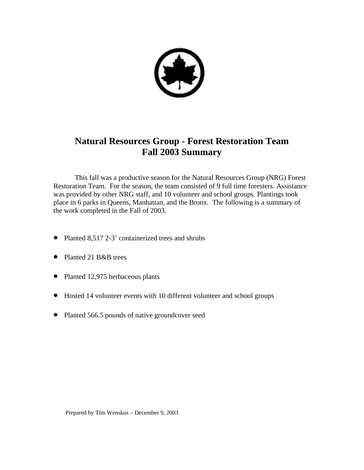

# **Natural Resources Group - Forest Restoration Team Fall 2003 Summary**

 This fall was a productive season for the Natural Resources Group (NRG) Forest Restoration Team. For the season, the team consisted of 9 full time foresters. Assistance was provided by other NRG staff, and 10 volunteer and school groups. Plantings took place in 6 parks in Queens, Manhattan, and the Bronx. The following is a summary of the work completed in the Fall of 2003.

- Planted 8,517 2-3' containerized trees and shrubs
- Planted 21 B&B trees
- Planted 12,975 herbaceous plants
- Hosted 14 volunteer events with 10 different volunteer and school groups
- Planted 566.5 pounds of native groundcover seed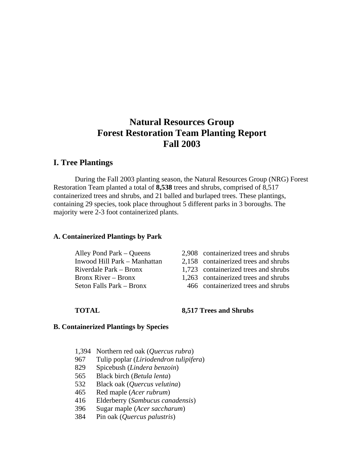# **Natural Resources Group Forest Restoration Team Planting Report Fall 2003**

# **I. Tree Plantings**

During the Fall 2003 planting season, the Natural Resources Group (NRG) Forest Restoration Team planted a total of **8,538** trees and shrubs, comprised of 8,517 containerized trees and shrubs, and 21 balled and burlaped trees. These plantings, containing 29 species, took place throughout 5 different parks in 3 boroughs. The majority were 2-3 foot containerized plants.

### **A. Containerized Plantings by Park**

| Alley Pond Park – Queens     | 2,908 containerize |
|------------------------------|--------------------|
| Inwood Hill Park - Manhattan | 2,158 containerize |
| Riverdale Park – Bronx       | 1,723 containerize |
| Bronx River – Bronx          | 1,263 containerize |
| Seton Falls Park – Bronx     | 466 containerize   |

- ed trees and shrubs
- Indeed trees and shrubs
- d trees and shrubs
- ed trees and shrubs
- ed trees and shrubs

### **TOTAL 8,517 Trees and Shrubs**

#### **B. Containerized Plantings by Species**

- 1,394 Northern red oak (*Quercus rubra*)
- 967 Tulip poplar (*Liriodendron tulipifera*)
- 829 Spicebush (*Lindera benzoin*)
- 565 Black birch (*Betula lenta*)
- 532 Black oak (*Quercus velutina*)
- 465 Red maple (*Acer rubrum*)
- 416 Elderberry (*Sambucus canadensis*)
- 396 Sugar maple (*Acer saccharum*)
- 384 Pin oak (*Quercus palustris*)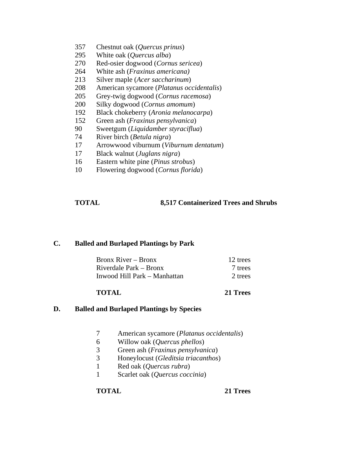- 357 Chestnut oak (*Quercus prinus*)
- 295 White oak (*Quercus alba*)
- 270 Red-osier dogwood (*Cornus sericea*)
- 264 White ash (*Fraxinus americana)*
- 213 Silver maple (*Acer saccharinum*)
- 208 American sycamore (*Platanus occidentalis*)
- 205 Grey-twig dogwood (*Cornus racemosa*)
- 200 Silky dogwood (*Cornus amomum*)
- 192 Black chokeberry (*Aronia melanocarpa*)
- 152 Green ash (*Fraxinus pensylvanica*)
- 90 Sweetgum (*Liquidamber styraciflua*)
- 74 River birch (*Betula nigra*)
- 17 Arrowwood viburnum (*Viburnum dentatum*)
- 17 Black walnut (*Juglans nigra*)
- 16 Eastern white pine (*Pinus strobus*)
- 10 Flowering dogwood (*Cornus florida*)

## **TOTAL 8,517 Containerized Trees and Shrubs**

### **C. Balled and Burlaped Plantings by Park**

| Bronx River – Bronx          | 12 trees |
|------------------------------|----------|
| Riverdale Park – Bronx       | 7 trees  |
| Inwood Hill Park – Manhattan | 2 trees  |

### **TOTAL 21 Trees**

### **D. Balled and Burlaped Plantings by Species**

- 7 American sycamore (*Platanus occidentalis*)
- 6 Willow oak (*Quercus phellos*)
- 3 Green ash (*Fraxinus pensylvanica*)
- 3 Honeylocust (*Gleditsia triacanthos*)
- 1 Red oak (*Quercus rubra*)
- 1 Scarlet oak (*Quercus coccinia*)

**TOTAL 21 Trees**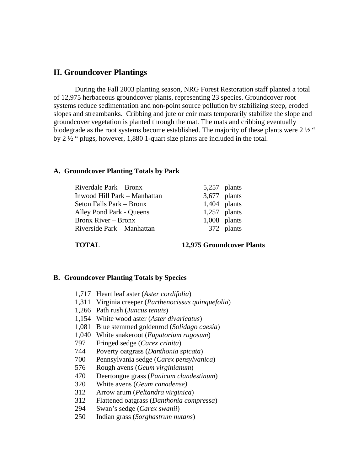## **II. Groundcover Plantings**

 During the Fall 2003 planting season, NRG Forest Restoration staff planted a total of 12,975 herbaceous groundcover plants, representing 23 species. Groundcover root systems reduce sedimentation and non-point source pollution by stabilizing steep, eroded slopes and streambanks. Cribbing and jute or coir mats temporarily stabilize the slope and groundcover vegetation is planted through the mat. The mats and cribbing eventually biodegrade as the root systems become established. The majority of these plants were  $2\frac{1}{2}$ " by 2 ½ " plugs, however, 1,880 1-quart size plants are included in the total.

#### **A. Groundcover Planting Totals by Park**

| Riverdale Park – Bronx       | 5,257 plants   |
|------------------------------|----------------|
| Inwood Hill Park – Manhattan | $3,677$ plants |
| Seton Falls Park – Bronx     | $1,404$ plants |
| Alley Pond Park - Queens     | $1,257$ plants |
| <b>Bronx River – Bronx</b>   | $1,008$ plants |
| Riverside Park – Manhattan   | 372 plants     |
|                              |                |

**TOTAL 12,975 Groundcover Plants** 

#### **B. Groundcover Planting Totals by Species**

- 1,717 Heart leaf aster (*Aster cordifolia*)
- 1,311 Virginia creeper (*Parthenocissus quinquefolia*)
- 1,266 Path rush (*Juncus tenuis*)
- 1,154 White wood aster (*Aster divaricatus*)
- 1,081 Blue stemmed goldenrod (*Solidago caesia*)
- 1,040 White snakeroot (*Eupatorium rugosum*)
- 797 Fringed sedge (*Carex crinita*)
- 744 Poverty oatgrass (*Danthonia spicata*)
- 700 Pennsylvania sedge (*Carex pensylvanica*)
- 576 Rough avens (*Geum virginianum*)
- 470 Deertongue grass (*Panicum clandestinum*)
- 320 White avens (*Geum canadense)*
- 312 Arrow arum (*Peltandra virginica*)
- 312 Flattened oatgrass (*Danthonia compressa*)
- 294 Swan's sedge (*Carex swanii*)
- 250 Indian grass (*Sorghastrum nutans*)